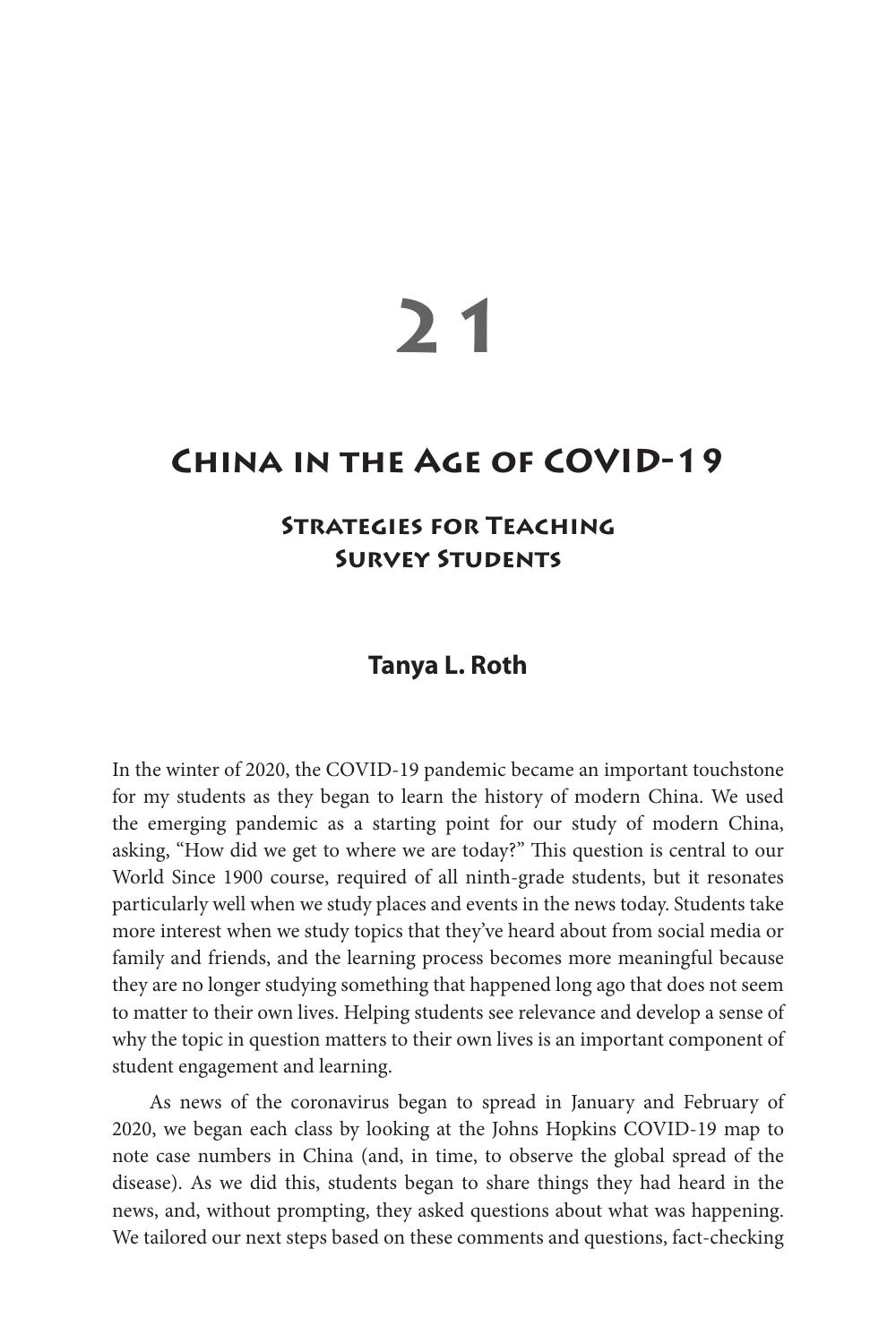# **21**

## **China in the Age of COVID-19**

## **Strategies for Teaching Survey Students**

## **Tanya L. Roth**

In the winter of 2020, the COVID-19 pandemic became an important touchstone for my students as they began to learn the history of modern China. We used the emerging pandemic as a starting point for our study of modern China, asking, "How did we get to where we are today?" This question is central to our World Since 1900 course, required of all ninth-grade students, but it resonates particularly well when we study places and events in the news today. Students take more interest when we study topics that they've heard about from social media or family and friends, and the learning process becomes more meaningful because they are no longer studying something that happened long ago that does not seem to matter to their own lives. Helping students see relevance and develop a sense of why the topic in question matters to their own lives is an important component of student engagement and learning.

As news of the coronavirus began to spread in January and February of 2020, we began each class by looking at the Johns Hopkins COVID-19 map to note case numbers in China (and, in time, to observe the global spread of the disease). As we did this, students began to share things they had heard in the news, and, without prompting, they asked questions about what was happening. We tailored our next steps based on these comments and questions, fact-checking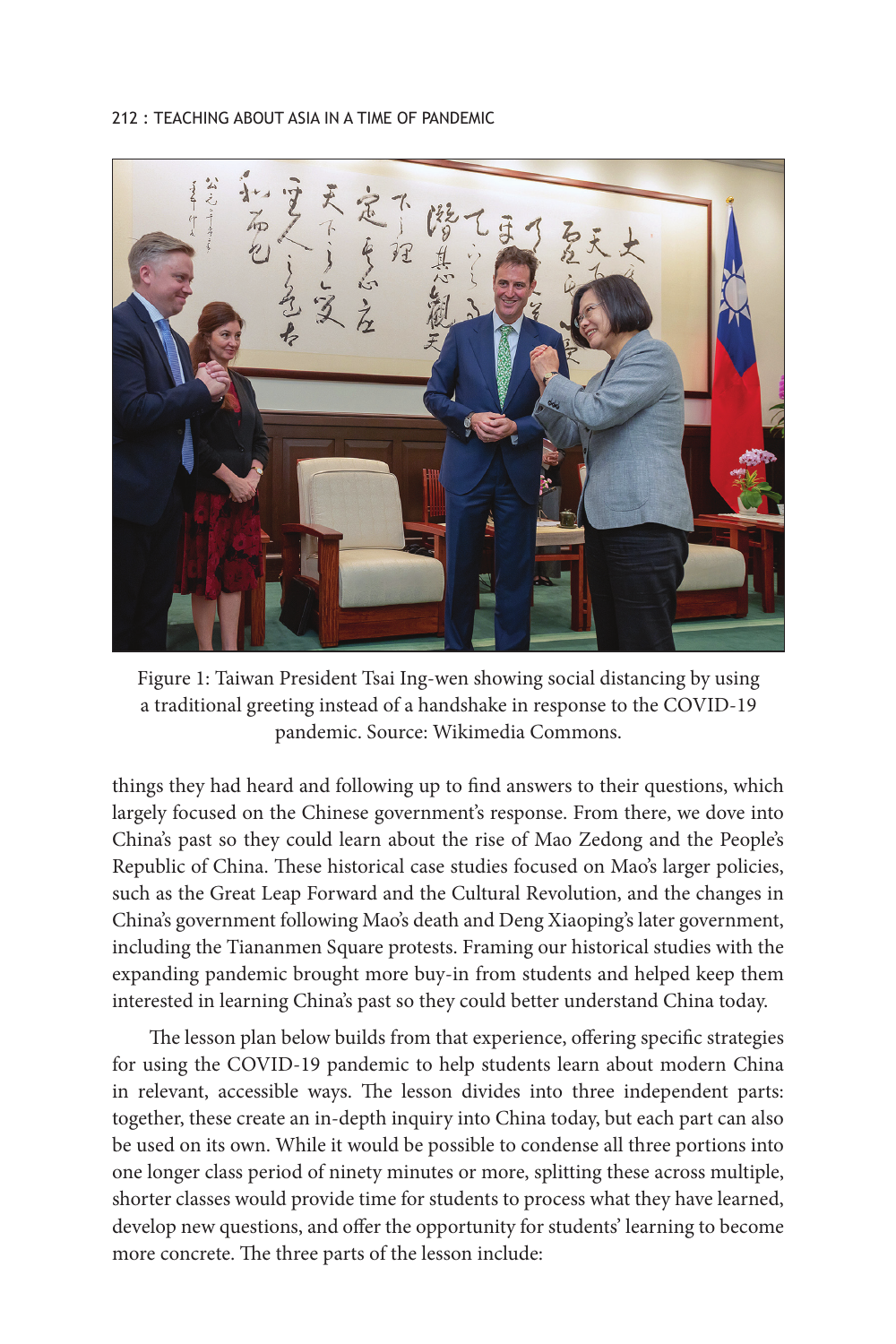

Figure 1: Taiwan President Tsai Ing-wen showing social distancing by using a traditional greeting instead of a handshake in response to the COVID-19 pandemic. Source: Wikimedia Commons.

things they had heard and following up to find answers to their questions, which largely focused on the Chinese government's response. From there, we dove into China's past so they could learn about the rise of Mao Zedong and the People's Republic of China. These historical case studies focused on Mao's larger policies, such as the Great Leap Forward and the Cultural Revolution, and the changes in China's government following Mao's death and Deng Xiaoping's later government, including the Tiananmen Square protests. Framing our historical studies with the expanding pandemic brought more buy-in from students and helped keep them interested in learning China's past so they could better understand China today.

The lesson plan below builds from that experience, offering specific strategies for using the COVID-19 pandemic to help students learn about modern China in relevant, accessible ways. The lesson divides into three independent parts: together, these create an in-depth inquiry into China today, but each part can also be used on its own. While it would be possible to condense all three portions into one longer class period of ninety minutes or more, splitting these across multiple, shorter classes would provide time for students to process what they have learned, develop new questions, and offer the opportunity for students' learning to become more concrete. The three parts of the lesson include: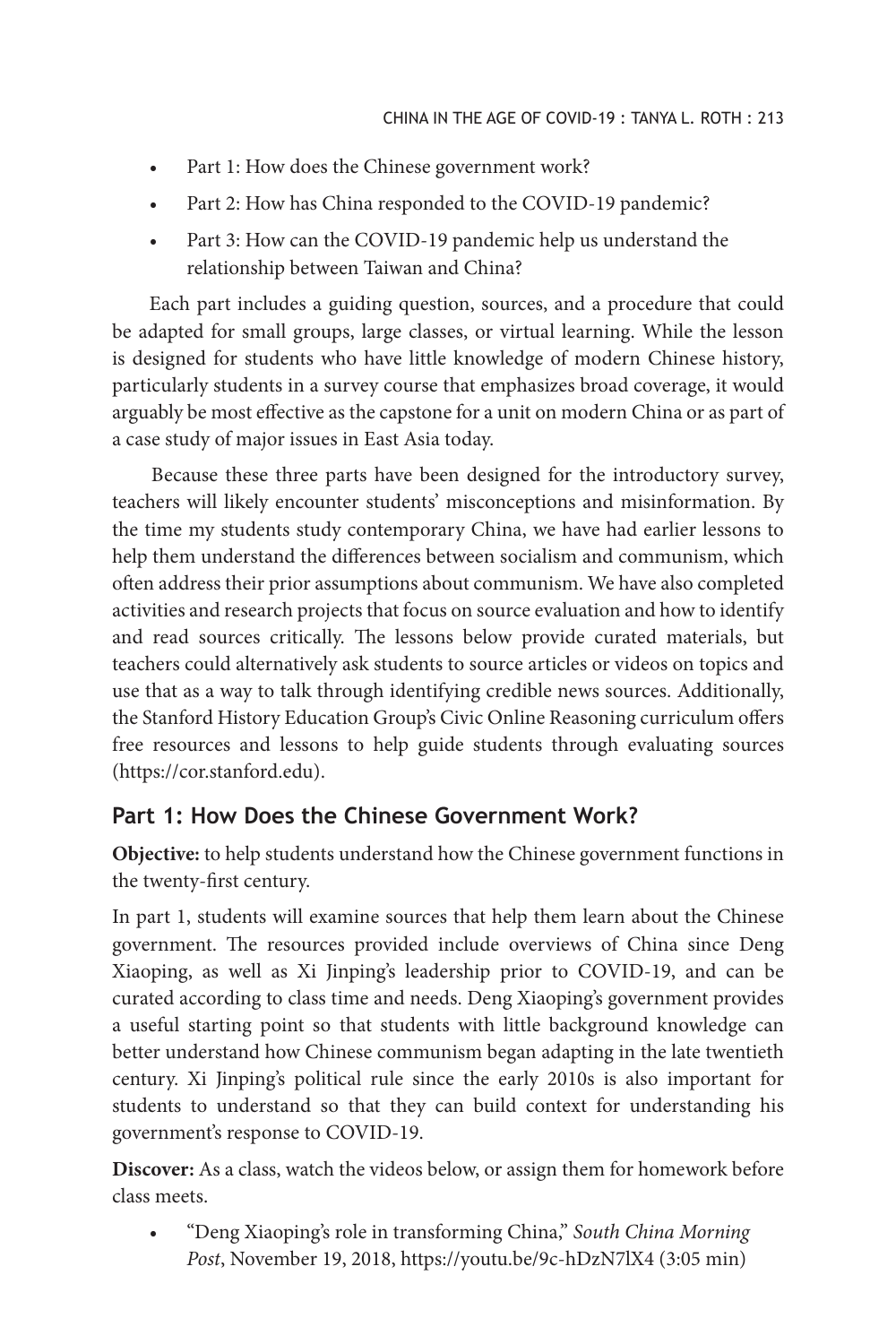- Part 1: How does the Chinese government work?
- Part 2: How has China responded to the COVID-19 pandemic?
- Part 3: How can the COVID-19 pandemic help us understand the relationship between Taiwan and China?

Each part includes a guiding question, sources, and a procedure that could be adapted for small groups, large classes, or virtual learning. While the lesson is designed for students who have little knowledge of modern Chinese history, particularly students in a survey course that emphasizes broad coverage, it would arguably be most effective as the capstone for a unit on modern China or as part of a case study of major issues in East Asia today.

Because these three parts have been designed for the introductory survey, teachers will likely encounter students' misconceptions and misinformation. By the time my students study contemporary China, we have had earlier lessons to help them understand the differences between socialism and communism, which often address their prior assumptions about communism. We have also completed activities and research projects that focus on source evaluation and how to identify and read sources critically. The lessons below provide curated materials, but teachers could alternatively ask students to source articles or videos on topics and use that as a way to talk through identifying credible news sources. Additionally, the Stanford History Education Group's Civic Online Reasoning curriculum offers free resources and lessons to help guide students through evaluating sources (https://cor.stanford.edu).

### **Part 1: How Does the Chinese Government Work?**

**Objective:** to help students understand how the Chinese government functions in the twenty-first century.

In part 1, students will examine sources that help them learn about the Chinese government. The resources provided include overviews of China since Deng Xiaoping, as well as Xi Jinping's leadership prior to COVID-19, and can be curated according to class time and needs. Deng Xiaoping's government provides a useful starting point so that students with little background knowledge can better understand how Chinese communism began adapting in the late twentieth century. Xi Jinping's political rule since the early 2010s is also important for students to understand so that they can build context for understanding his government's response to COVID-19.

**Discover:** As a class, watch the videos below, or assign them for homework before class meets.

• "Deng Xiaoping's role in transforming China," *South China Morning Post*, November 19, 2018, https://youtu.be/9c-hDzN7lX4 (3:05 min)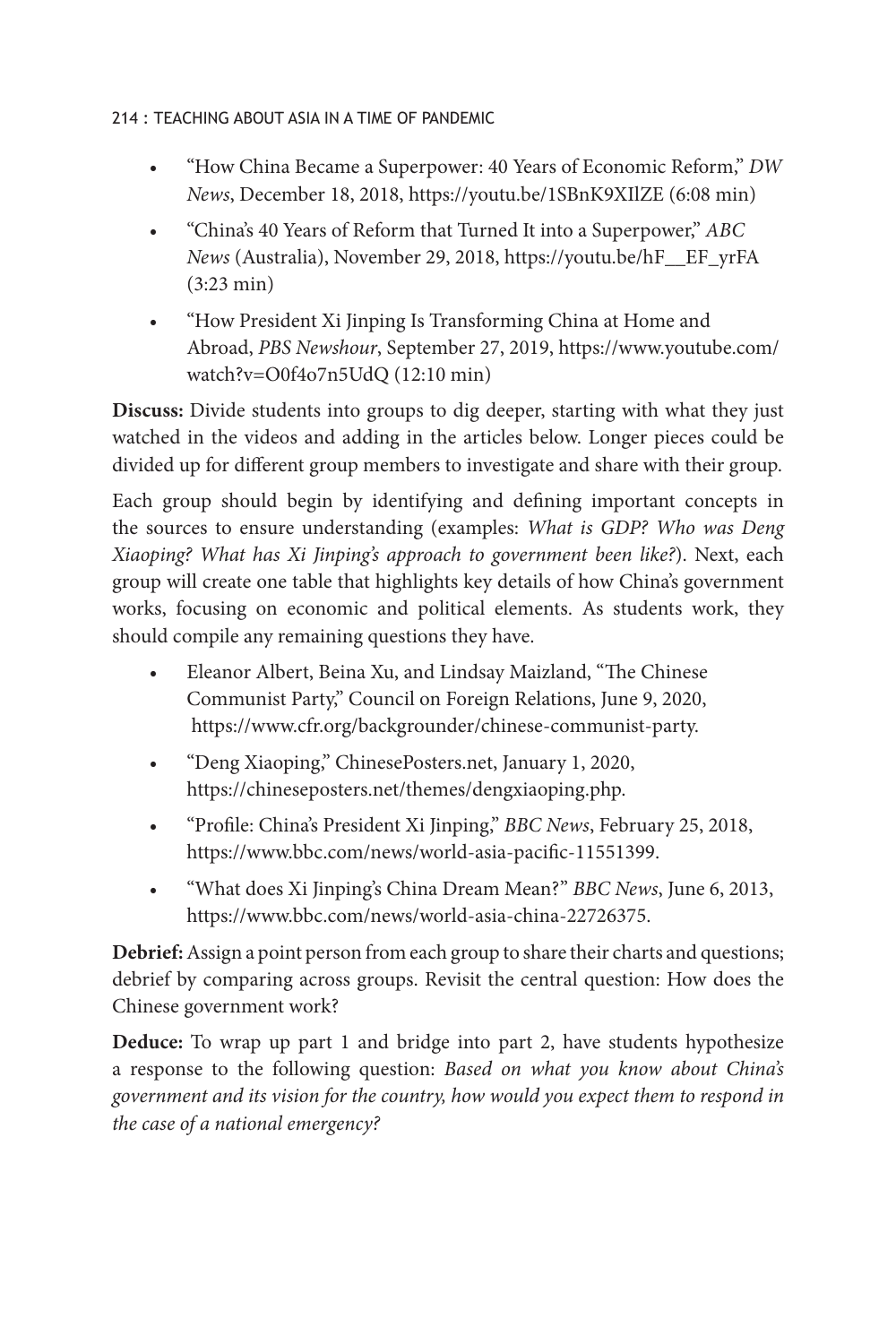- "How China Became a Superpower: 40 Years of Economic Reform," *DW News*, December 18, 2018, https://youtu.be/1SBnK9XIlZE (6:08 min)
- "China's 40 Years of Reform that Turned It into a Superpower," *ABC News* (Australia), November 29, 2018, https://youtu.be/hF\_\_EF\_yrFA (3:23 min)
- "How President Xi Jinping Is Transforming China at Home and Abroad, *PBS Newshour*, September 27, 2019, https://www.youtube.com/ watch?v=O0f4o7n5UdQ (12:10 min)

**Discuss:** Divide students into groups to dig deeper, starting with what they just watched in the videos and adding in the articles below. Longer pieces could be divided up for different group members to investigate and share with their group.

Each group should begin by identifying and defining important concepts in the sources to ensure understanding (examples: *What is GDP? Who was Deng Xiaoping? What has Xi Jinping's approach to government been like?*). Next, each group will create one table that highlights key details of how China's government works, focusing on economic and political elements. As students work, they should compile any remaining questions they have.

- Eleanor Albert, Beina Xu, and Lindsay Maizland, "The Chinese Communist Party," Council on Foreign Relations, June 9, 2020, https://www.cfr.org/backgrounder/chinese-communist-party.
- "Deng Xiaoping," ChinesePosters.net, January 1, 2020, https://chineseposters.net/themes/dengxiaoping.php.
- "Profile: China's President Xi Jinping," *BBC News*, February 25, 2018, https://www.bbc.com/news/world-asia-pacific-11551399.
- "What does Xi Jinping's China Dream Mean?" *BBC News*, June 6, 2013, https://www.bbc.com/news/world-asia-china-22726375.

**Debrief:** Assign a point person from each group to share their charts and questions; debrief by comparing across groups. Revisit the central question: How does the Chinese government work?

**Deduce:** To wrap up part 1 and bridge into part 2, have students hypothesize a response to the following question: *Based on what you know about China's government and its vision for the country, how would you expect them to respond in the case of a national emergency?*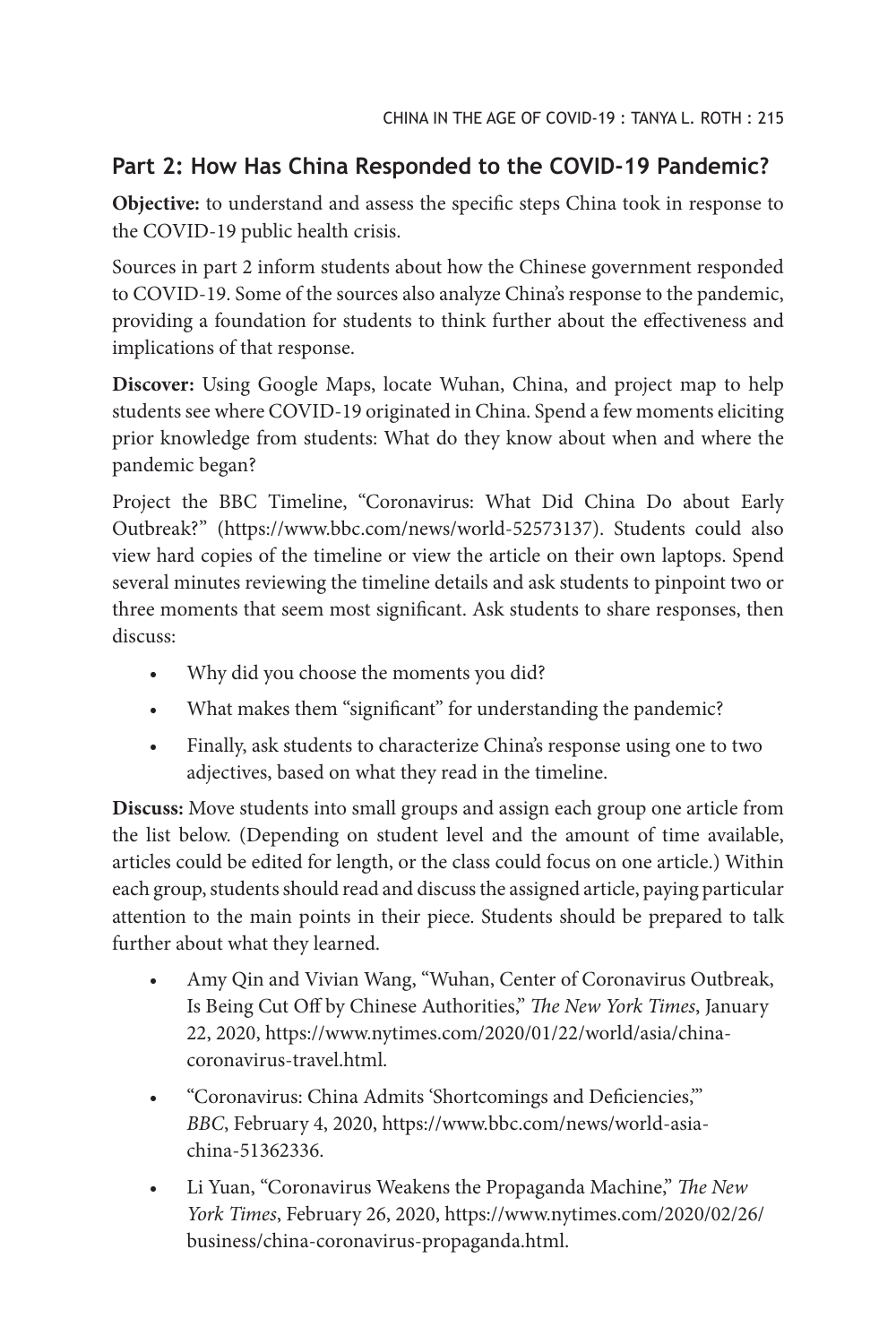## **Part 2: How Has China Responded to the COVID-19 Pandemic?**

**Objective:** to understand and assess the specific steps China took in response to the COVID-19 public health crisis.

Sources in part 2 inform students about how the Chinese government responded to COVID-19. Some of the sources also analyze China's response to the pandemic, providing a foundation for students to think further about the effectiveness and implications of that response.

**Discover:** Using Google Maps, locate Wuhan, China, and project map to help students see where COVID-19 originated in China. Spend a few moments eliciting prior knowledge from students: What do they know about when and where the pandemic began?

Project the BBC Timeline, "Coronavirus: What Did China Do about Early Outbreak?" (https://www.bbc.com/news/world-52573137). Students could also view hard copies of the timeline or view the article on their own laptops. Spend several minutes reviewing the timeline details and ask students to pinpoint two or three moments that seem most significant. Ask students to share responses, then discuss:

- Why did you choose the moments you did?
- What makes them "significant" for understanding the pandemic?
- Finally, ask students to characterize China's response using one to two adjectives, based on what they read in the timeline.

**Discuss:** Move students into small groups and assign each group one article from the list below. (Depending on student level and the amount of time available, articles could be edited for length, or the class could focus on one article.) Within each group, students should read and discuss the assigned article, paying particular attention to the main points in their piece. Students should be prepared to talk further about what they learned.

- Amy Qin and Vivian Wang, "Wuhan, Center of Coronavirus Outbreak, Is Being Cut Off by Chinese Authorities," *The New York Times*, January 22, 2020, https://www.nytimes.com/2020/01/22/world/asia/chinacoronavirus-travel.html.
- "Coronavirus: China Admits 'Shortcomings and Deficiencies,'" *BBC*, February 4, 2020, https://www.bbc.com/news/world-asiachina-51362336.
- Li Yuan, "Coronavirus Weakens the Propaganda Machine," *The New York Times*, February 26, 2020, https://www.nytimes.com/2020/02/26/ business/china-coronavirus-propaganda.html.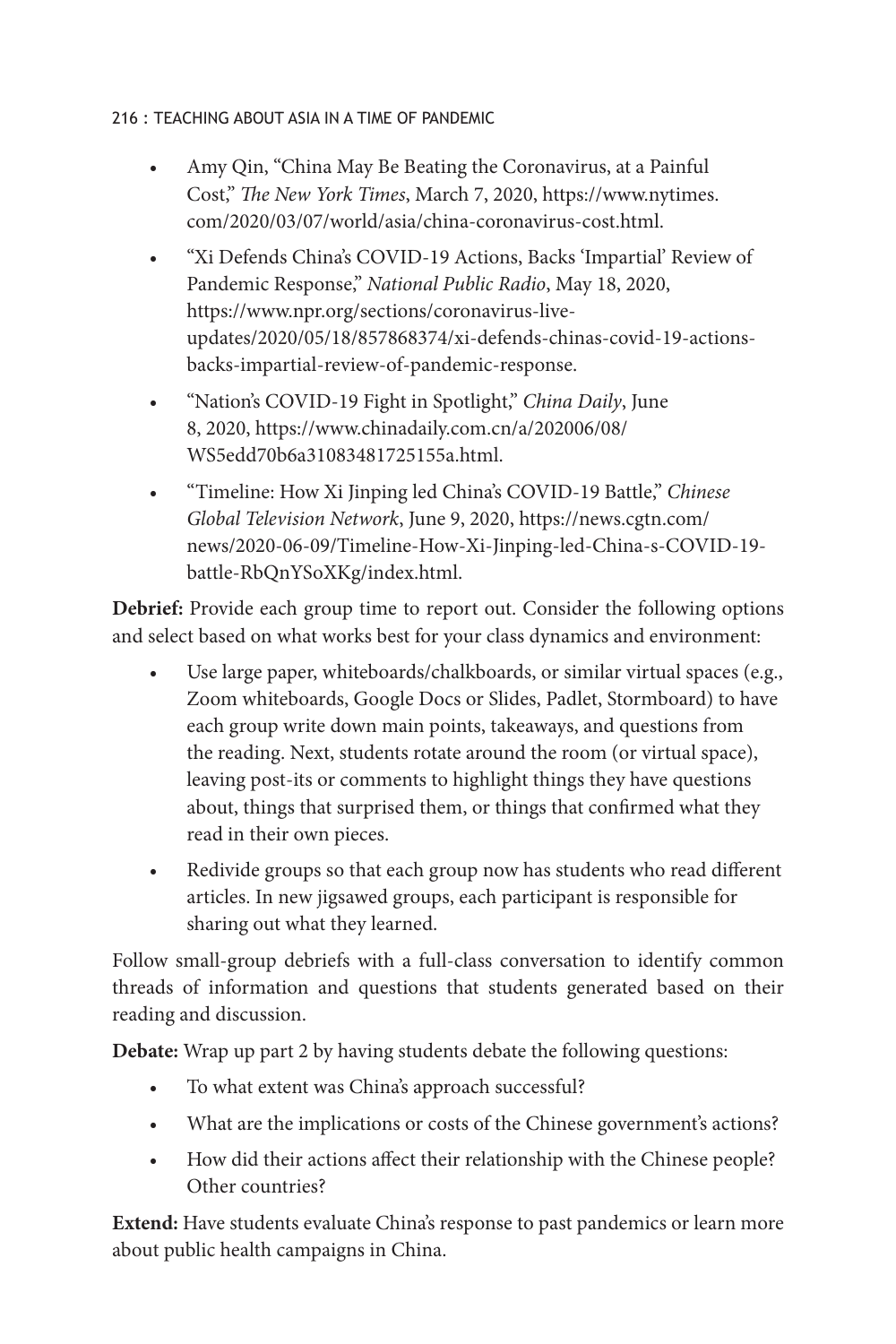- Amy Qin, "China May Be Beating the Coronavirus, at a Painful Cost," *The New York Times*, March 7, 2020, https://www.nytimes. com/2020/03/07/world/asia/china-coronavirus-cost.html.
- "Xi Defends China's COVID-19 Actions, Backs 'Impartial' Review of Pandemic Response," *National Public Radio*, May 18, 2020, https://www.npr.org/sections/coronavirus-liveupdates/2020/05/18/857868374/xi-defends-chinas-covid-19-actionsbacks-impartial-review-of-pandemic-response.
- "Nation's COVID-19 Fight in Spotlight," *China Daily*, June 8, 2020, https://www.chinadaily.com.cn/a/202006/08/ WS5edd70b6a31083481725155a.html.
- "Timeline: How Xi Jinping led China's COVID-19 Battle," *Chinese Global Television Network*, June 9, 2020, https://news.cgtn.com/ news/2020-06-09/Timeline-How-Xi-Jinping-led-China-s-COVID-19 battle-RbQnYSoXKg/index.html.

**Debrief:** Provide each group time to report out. Consider the following options and select based on what works best for your class dynamics and environment:

- Use large paper, whiteboards/chalkboards, or similar virtual spaces (e.g., Zoom whiteboards, Google Docs or Slides, Padlet, Stormboard) to have each group write down main points, takeaways, and questions from the reading. Next, students rotate around the room (or virtual space), leaving post-its or comments to highlight things they have questions about, things that surprised them, or things that confirmed what they read in their own pieces.
- Redivide groups so that each group now has students who read different articles. In new jigsawed groups, each participant is responsible for sharing out what they learned.

Follow small-group debriefs with a full-class conversation to identify common threads of information and questions that students generated based on their reading and discussion.

**Debate:** Wrap up part 2 by having students debate the following questions:

- To what extent was China's approach successful?
- What are the implications or costs of the Chinese government's actions?
- How did their actions affect their relationship with the Chinese people? Other countries?

**Extend:** Have students evaluate China's response to past pandemics or learn more about public health campaigns in China.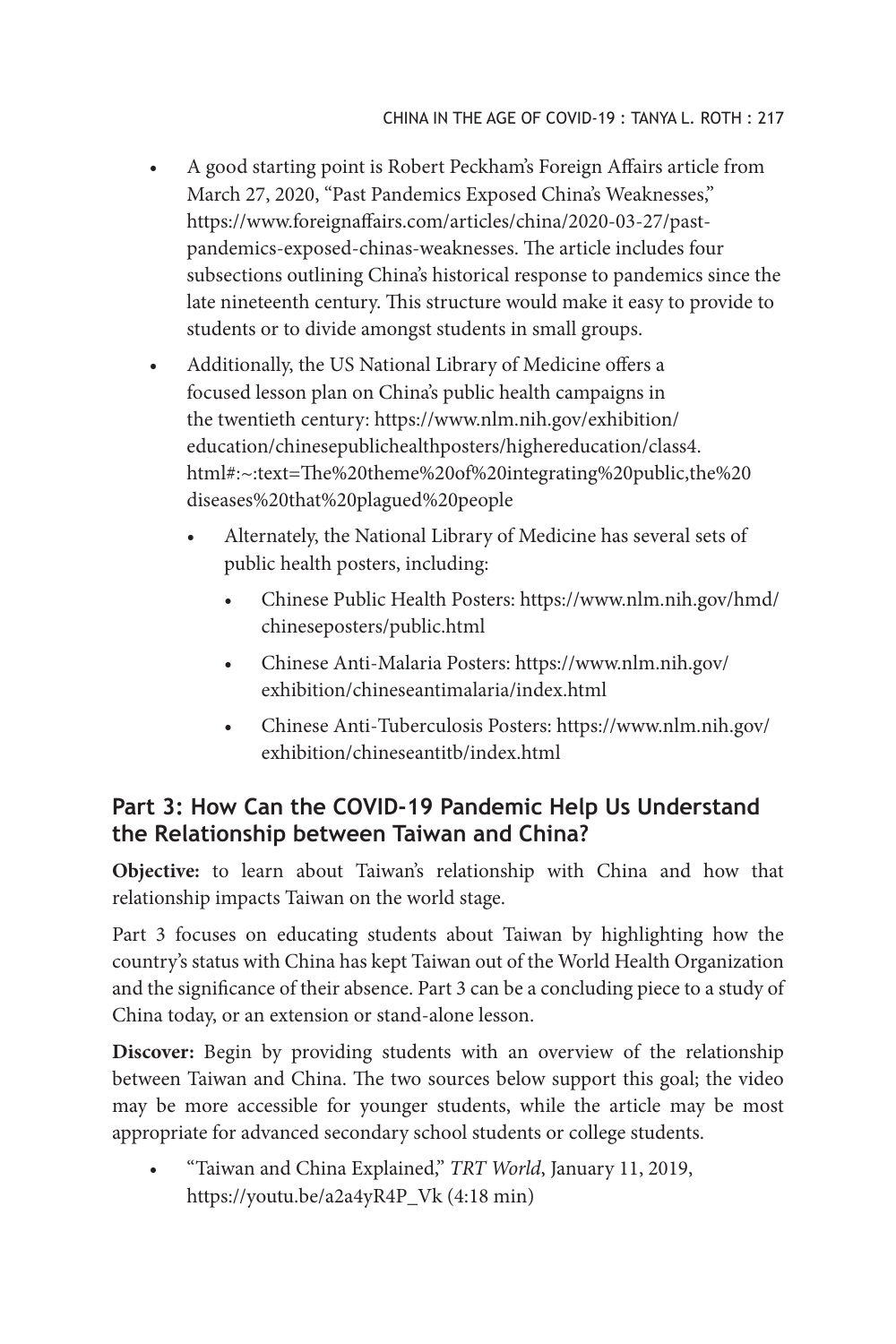- A good starting point is Robert Peckham's Foreign Affairs article from March 27, 2020, "Past Pandemics Exposed China's Weaknesses," https://www.foreignaffairs.com/articles/china/2020-03-27/pastpandemics-exposed-chinas-weaknesses. The article includes four subsections outlining China's historical response to pandemics since the late nineteenth century. This structure would make it easy to provide to students or to divide amongst students in small groups.
- Additionally, the US National Library of Medicine offers a focused lesson plan on China's public health campaigns in the twentieth century: https://www.nlm.nih.gov/exhibition/ education/chinesepublichealthposters/highereducation/class4. html#:~:text=The%20theme%20of%20integrating%20public,the%20 diseases%20that%20plagued%20people
	- Alternately, the National Library of Medicine has several sets of public health posters, including:
		- Chinese Public Health Posters: https://www.nlm.nih.gov/hmd/ chineseposters/public.html
		- Chinese Anti-Malaria Posters: https://www.nlm.nih.gov/ exhibition/chineseantimalaria/index.html
		- Chinese Anti-Tuberculosis Posters: https://www.nlm.nih.gov/ exhibition/chineseantith/index.html

## **Part 3: How Can the COVID-19 Pandemic Help Us Understand the Relationship between Taiwan and China?**

**Objective:** to learn about Taiwan's relationship with China and how that relationship impacts Taiwan on the world stage.

Part 3 focuses on educating students about Taiwan by highlighting how the country's status with China has kept Taiwan out of the World Health Organization and the significance of their absence. Part 3 can be a concluding piece to a study of China today, or an extension or stand-alone lesson.

**Discover:** Begin by providing students with an overview of the relationship between Taiwan and China. The two sources below support this goal; the video may be more accessible for younger students, while the article may be most appropriate for advanced secondary school students or college students.

• "Taiwan and China Explained," *TRT World*, January 11, 2019, https://youtu.be/a2a4yR4P\_Vk (4:18 min)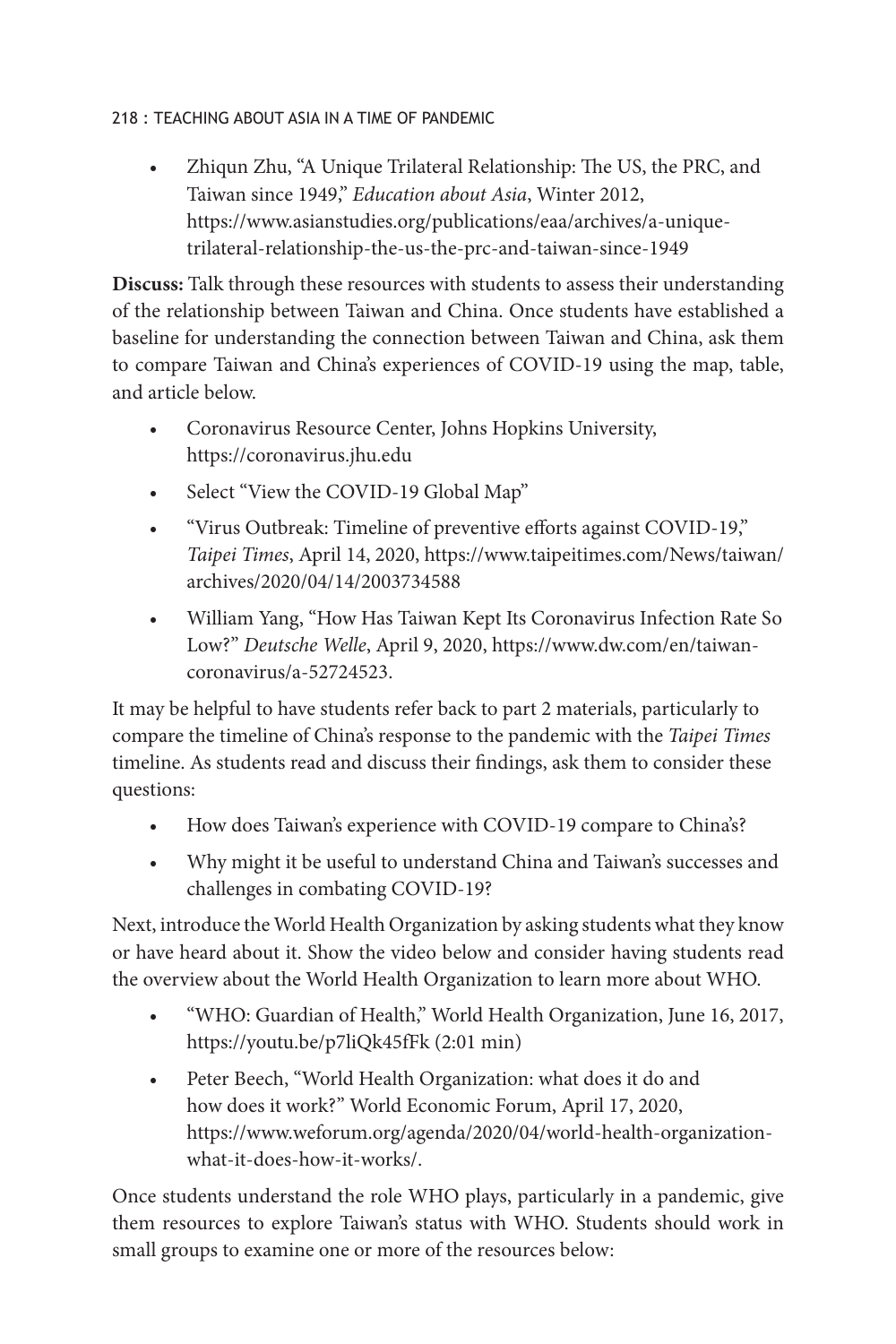• Zhiqun Zhu, "A Unique Trilateral Relationship: The US, the PRC, and Taiwan since 1949," *Education about Asia*, Winter 2012, https://www.asianstudies.org/publications/eaa/archives/a-uniquetrilateral-relationship-the-us-the-prc-and-taiwan-since-1949

**Discuss:** Talk through these resources with students to assess their understanding of the relationship between Taiwan and China. Once students have established a baseline for understanding the connection between Taiwan and China, ask them to compare Taiwan and China's experiences of COVID-19 using the map, table, and article below.

- Coronavirus Resource Center, Johns Hopkins University, https://coronavirus.jhu.edu
- Select "View the COVID-19 Global Map"
- "Virus Outbreak: Timeline of preventive efforts against COVID-19," *Taipei Times*, April 14, 2020, https://www.taipeitimes.com/News/taiwan/ archives/2020/04/14/2003734588
- William Yang, "How Has Taiwan Kept Its Coronavirus Infection Rate So Low?" *Deutsche Welle*, April 9, 2020, https://www.dw.com/en/taiwancoronavirus/a-52724523.

It may be helpful to have students refer back to part 2 materials, particularly to compare the timeline of China's response to the pandemic with the *Taipei Times* timeline. As students read and discuss their findings, ask them to consider these questions:

- How does Taiwan's experience with COVID-19 compare to China's?
- Why might it be useful to understand China and Taiwan's successes and challenges in combating COVID-19?

Next, introduce the World Health Organization by asking students what they know or have heard about it. Show the video below and consider having students read the overview about the World Health Organization to learn more about WHO.

- "WHO: Guardian of Health," World Health Organization, June 16, 2017, https://youtu.be/p7liQk45fFk (2:01 min)
- Peter Beech, "World Health Organization: what does it do and how does it work?" World Economic Forum, April 17, 2020, https://www.weforum.org/agenda/2020/04/world-health-organizationwhat-it-does-how-it-works/.

Once students understand the role WHO plays, particularly in a pandemic, give them resources to explore Taiwan's status with WHO. Students should work in small groups to examine one or more of the resources below: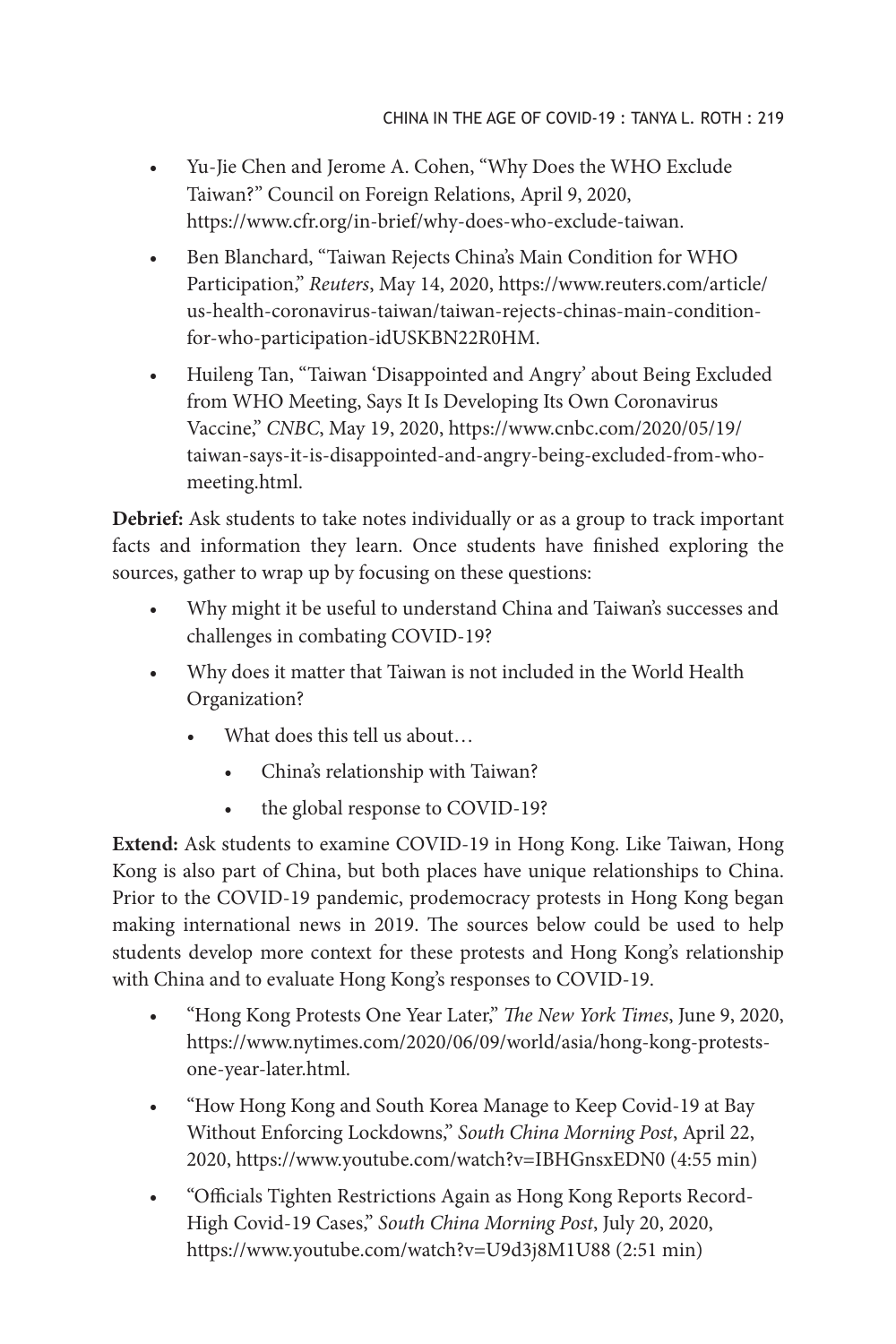- Yu-Jie Chen and Jerome A. Cohen, "Why Does the WHO Exclude Taiwan?" Council on Foreign Relations, April 9, 2020, https://www.cfr.org/in-brief/why-does-who-exclude-taiwan.
- Ben Blanchard, "Taiwan Rejects China's Main Condition for WHO Participation," *Reuters*, May 14, 2020, https://www.reuters.com/article/ us-health-coronavirus-taiwan/taiwan-rejects-chinas-main-conditionfor-who-participation-idUSKBN22R0HM.
- Huileng Tan, "Taiwan 'Disappointed and Angry' about Being Excluded from WHO Meeting, Says It Is Developing Its Own Coronavirus Vaccine," *CNBC*, May 19, 2020, https://www.cnbc.com/2020/05/19/ taiwan-says-it-is-disappointed-and-angry-being-excluded-from-whomeeting.html.

**Debrief:** Ask students to take notes individually or as a group to track important facts and information they learn. Once students have finished exploring the sources, gather to wrap up by focusing on these questions:

- Why might it be useful to understand China and Taiwan's successes and challenges in combating COVID-19?
- Why does it matter that Taiwan is not included in the World Health Organization?
	- What does this tell us about...
		- China's relationship with Taiwan?
		- the global response to COVID-19?

**Extend:** Ask students to examine COVID-19 in Hong Kong. Like Taiwan, Hong Kong is also part of China, but both places have unique relationships to China. Prior to the COVID-19 pandemic, prodemocracy protests in Hong Kong began making international news in 2019. The sources below could be used to help students develop more context for these protests and Hong Kong's relationship with China and to evaluate Hong Kong's responses to COVID-19.

- "Hong Kong Protests One Year Later," *The New York Times*, June 9, 2020, https://www.nytimes.com/2020/06/09/world/asia/hong-kong-protestsone-year-later.html.
- "How Hong Kong and South Korea Manage to Keep Covid-19 at Bay Without Enforcing Lockdowns," *South China Morning Post*, April 22, 2020, https://www.youtube.com/watch?v=IBHGnsxEDN0 (4:55 min)
- "Officials Tighten Restrictions Again as Hong Kong Reports Record-High Covid-19 Cases," *South China Morning Post*, July 20, 2020, https://www.youtube.com/watch?v=U9d3j8M1U88 (2:51 min)